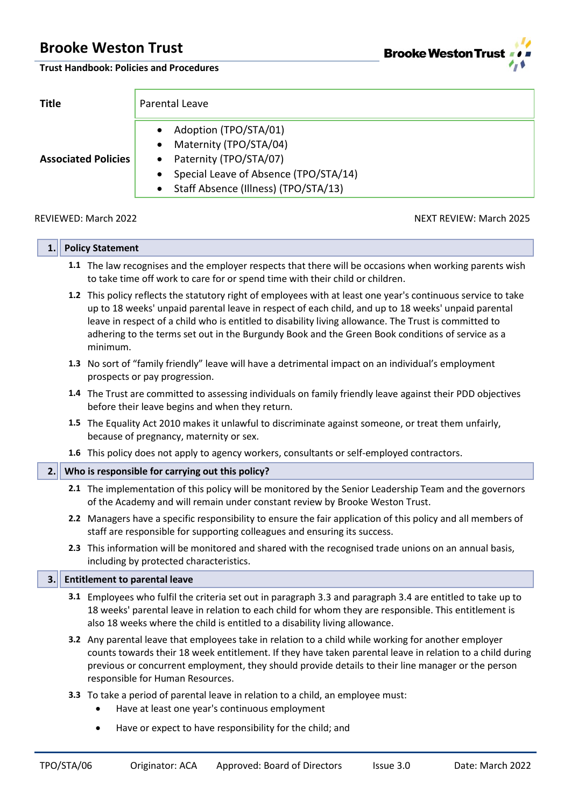**Brooke Weston Trust**  $\lambda$ 

**Trust Handbook: Policies and Procedures**

| <b>Title</b>               | Parental Leave                                                                                                                                                                                    |  |  |  |  |
|----------------------------|---------------------------------------------------------------------------------------------------------------------------------------------------------------------------------------------------|--|--|--|--|
| <b>Associated Policies</b> | Adoption (TPO/STA/01)<br>Maternity (TPO/STA/04)<br>$\bullet$<br>Paternity (TPO/STA/07)<br>Special Leave of Absence (TPO/STA/14)<br>$\bullet$<br>Staff Absence (Illness) (TPO/STA/13)<br>$\bullet$ |  |  |  |  |

REVIEWED: March 2022 2008 NEXT REVIEW: March 2025

| 1.                                                                                                                                                                                                                                                                                                                                                          |  | <b>Policy Statement</b>                                                                                                                                                                                                                                                                                                                                                                                                                       |  |  |  |  |
|-------------------------------------------------------------------------------------------------------------------------------------------------------------------------------------------------------------------------------------------------------------------------------------------------------------------------------------------------------------|--|-----------------------------------------------------------------------------------------------------------------------------------------------------------------------------------------------------------------------------------------------------------------------------------------------------------------------------------------------------------------------------------------------------------------------------------------------|--|--|--|--|
|                                                                                                                                                                                                                                                                                                                                                             |  | 1.1 The law recognises and the employer respects that there will be occasions when working parents wish<br>to take time off work to care for or spend time with their child or children.                                                                                                                                                                                                                                                      |  |  |  |  |
|                                                                                                                                                                                                                                                                                                                                                             |  | 1.2 This policy reflects the statutory right of employees with at least one year's continuous service to take<br>up to 18 weeks' unpaid parental leave in respect of each child, and up to 18 weeks' unpaid parental<br>leave in respect of a child who is entitled to disability living allowance. The Trust is committed to<br>adhering to the terms set out in the Burgundy Book and the Green Book conditions of service as a<br>minimum. |  |  |  |  |
|                                                                                                                                                                                                                                                                                                                                                             |  | 1.3 No sort of "family friendly" leave will have a detrimental impact on an individual's employment<br>prospects or pay progression.                                                                                                                                                                                                                                                                                                          |  |  |  |  |
|                                                                                                                                                                                                                                                                                                                                                             |  | 1.4 The Trust are committed to assessing individuals on family friendly leave against their PDD objectives<br>before their leave begins and when they return.                                                                                                                                                                                                                                                                                 |  |  |  |  |
|                                                                                                                                                                                                                                                                                                                                                             |  | 1.5 The Equality Act 2010 makes it unlawful to discriminate against someone, or treat them unfairly,<br>because of pregnancy, maternity or sex.                                                                                                                                                                                                                                                                                               |  |  |  |  |
|                                                                                                                                                                                                                                                                                                                                                             |  | 1.6 This policy does not apply to agency workers, consultants or self-employed contractors.                                                                                                                                                                                                                                                                                                                                                   |  |  |  |  |
| 2.                                                                                                                                                                                                                                                                                                                                                          |  | Who is responsible for carrying out this policy?                                                                                                                                                                                                                                                                                                                                                                                              |  |  |  |  |
|                                                                                                                                                                                                                                                                                                                                                             |  | 2.1 The implementation of this policy will be monitored by the Senior Leadership Team and the governors<br>of the Academy and will remain under constant review by Brooke Weston Trust.                                                                                                                                                                                                                                                       |  |  |  |  |
|                                                                                                                                                                                                                                                                                                                                                             |  | 2.2 Managers have a specific responsibility to ensure the fair application of this policy and all members of<br>staff are responsible for supporting colleagues and ensuring its success.                                                                                                                                                                                                                                                     |  |  |  |  |
|                                                                                                                                                                                                                                                                                                                                                             |  | 2.3 This information will be monitored and shared with the recognised trade unions on an annual basis,<br>including by protected characteristics.                                                                                                                                                                                                                                                                                             |  |  |  |  |
| 3.                                                                                                                                                                                                                                                                                                                                                          |  | <b>Entitlement to parental leave</b>                                                                                                                                                                                                                                                                                                                                                                                                          |  |  |  |  |
|                                                                                                                                                                                                                                                                                                                                                             |  | 3.1 Employees who fulfil the criteria set out in paragraph 3.3 and paragraph 3.4 are entitled to take up to<br>18 weeks' parental leave in relation to each child for whom they are responsible. This entitlement is<br>also 18 weeks where the child is entitled to a disability living allowance.                                                                                                                                           |  |  |  |  |
| 3.2 Any parental leave that employees take in relation to a child while working for another employer<br>counts towards their 18 week entitlement. If they have taken parental leave in relation to a child during<br>previous or concurrent employment, they should provide details to their line manager or the person<br>responsible for Human Resources. |  |                                                                                                                                                                                                                                                                                                                                                                                                                                               |  |  |  |  |
|                                                                                                                                                                                                                                                                                                                                                             |  | 3.3 To take a period of parental leave in relation to a child, an employee must:<br>Have at least one year's continuous employment                                                                                                                                                                                                                                                                                                            |  |  |  |  |
|                                                                                                                                                                                                                                                                                                                                                             |  | Have or expect to have responsibility for the child; and                                                                                                                                                                                                                                                                                                                                                                                      |  |  |  |  |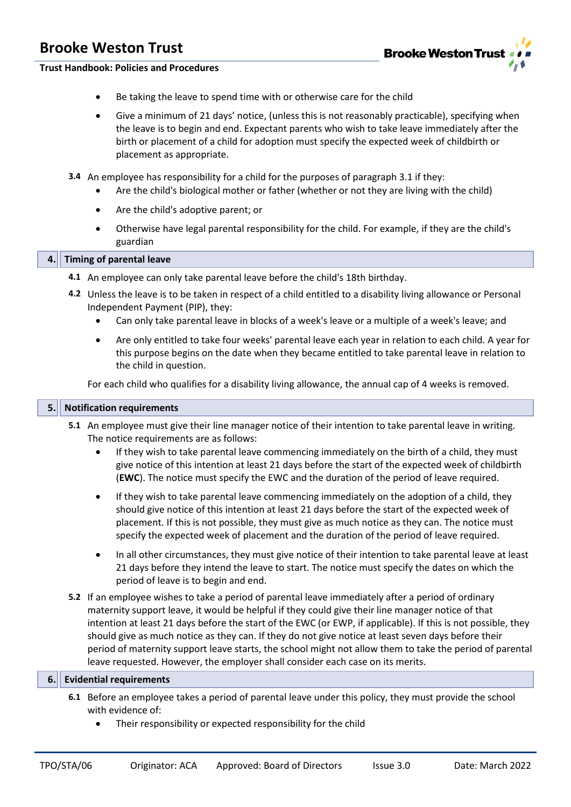

#### **Trust Handbook: Policies and Procedures**

- Be taking the leave to spend time with or otherwise care for the child
- Give a minimum of 21 days' notice, (unless this is not reasonably practicable), specifying when the leave is to begin and end. Expectant parents who wish to take leave immediately after the birth or placement of a child for adoption must specify the expected week of childbirth or placement as appropriate.
- **3.4** An employee has responsibility for a child for the purposes of paragraph 3.1 if they:
	- Are the child's biological mother or father (whether or not they are living with the child)
	- Are the child's adoptive parent; or
	- Otherwise have legal parental responsibility for the child. For example, if they are the child's guardian

#### **4. Timing of parental leave**

- **4.1** An employee can only take parental leave before the child's 18th birthday.
- **4.2** Unless the leave is to be taken in respect of a child entitled to a disability living allowance or Personal Independent Payment (PIP), they:
	- Can only take parental leave in blocks of a week's leave or a multiple of a week's leave; and
	- Are only entitled to take four weeks' parental leave each year in relation to each child. A year for this purpose begins on the date when they became entitled to take parental leave in relation to the child in question.

For each child who qualifies for a disability living allowance, the annual cap of 4 weeks is removed.

#### **5. Notification requirements**

- **5.1** An employee must give their line manager notice of their intention to take parental leave in writing. The notice requirements are as follows:
	- If they wish to take parental leave commencing immediately on the birth of a child, they must give notice of this intention at least 21 days before the start of the expected week of childbirth (**EWC**). The notice must specify the EWC and the duration of the period of leave required.
	- If they wish to take parental leave commencing immediately on the adoption of a child, they should give notice of this intention at least 21 days before the start of the expected week of placement. If this is not possible, they must give as much notice as they can. The notice must specify the expected week of placement and the duration of the period of leave required.
	- In all other circumstances, they must give notice of their intention to take parental leave at least 21 days before they intend the leave to start. The notice must specify the dates on which the period of leave is to begin and end.
- **5.2** If an employee wishes to take a period of parental leave immediately after a period of ordinary maternity support leave, it would be helpful if they could give their line manager notice of that intention at least 21 days before the start of the EWC (or EWP, if applicable). If this is not possible, they should give as much notice as they can. If they do not give notice at least seven days before their period of maternity support leave starts, the school might not allow them to take the period of parental leave requested. However, the employer shall consider each case on its merits.

#### **6. Evidential requirements**

- **6.1** Before an employee takes a period of parental leave under this policy, they must provide the school with evidence of:
	- Their responsibility or expected responsibility for the child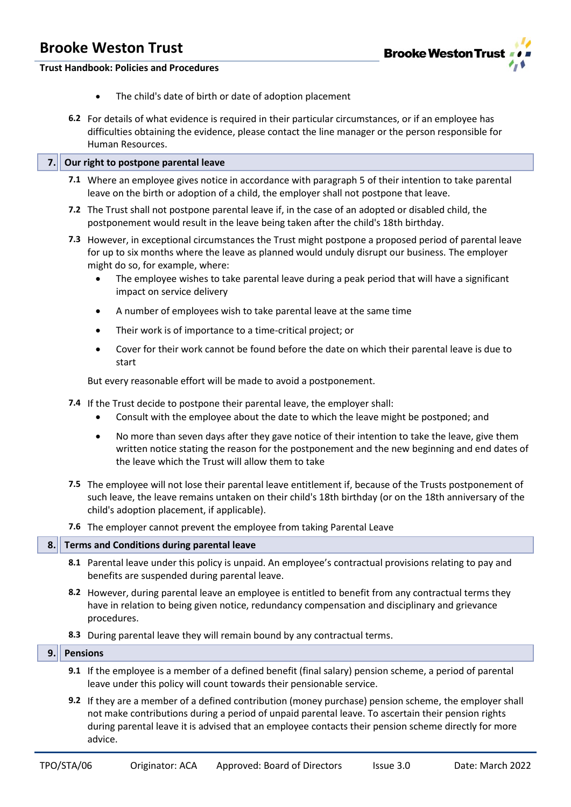

#### **Trust Handbook: Policies and Procedures**

- The child's date of birth or date of adoption placement
- **6.2** For details of what evidence is required in their particular circumstances, or if an employee has difficulties obtaining the evidence, please contact the line manager or the person responsible for Human Resources.

#### **7. Our right to postpone parental leave**

- **7.1** Where an employee gives notice in accordance with paragraph 5 of their intention to take parental leave on the birth or adoption of a child, the employer shall not postpone that leave.
- **7.2** The Trust shall not postpone parental leave if, in the case of an adopted or disabled child, the postponement would result in the leave being taken after the child's 18th birthday.
- **7.3** However, in exceptional circumstances the Trust might postpone a proposed period of parental leave for up to six months where the leave as planned would unduly disrupt our business. The employer might do so, for example, where:
	- The employee wishes to take parental leave during a peak period that will have a significant impact on service delivery
	- A number of employees wish to take parental leave at the same time
	- Their work is of importance to a time-critical project; or
	- Cover for their work cannot be found before the date on which their parental leave is due to start

But every reasonable effort will be made to avoid a postponement.

- **7.4** If the Trust decide to postpone their parental leave, the employer shall:
	- Consult with the employee about the date to which the leave might be postponed; and
	- No more than seven days after they gave notice of their intention to take the leave, give them written notice stating the reason for the postponement and the new beginning and end dates of the leave which the Trust will allow them to take
- **7.5** The employee will not lose their parental leave entitlement if, because of the Trusts postponement of such leave, the leave remains untaken on their child's 18th birthday (or on the 18th anniversary of the child's adoption placement, if applicable).
- **7.6** The employer cannot prevent the employee from taking Parental Leave

#### **8. Terms and Conditions during parental leave**

- **8.1** Parental leave under this policy is unpaid. An employee's contractual provisions relating to pay and benefits are suspended during parental leave.
- **8.2** However, during parental leave an employee is entitled to benefit from any contractual terms they have in relation to being given notice, redundancy compensation and disciplinary and grievance procedures.
- **8.3** During parental leave they will remain bound by any contractual terms.

#### **9. Pensions**

- **9.1** If the employee is a member of a defined benefit (final salary) pension scheme, a period of parental leave under this policy will count towards their pensionable service.
- **9.2** If they are a member of a defined contribution (money purchase) pension scheme, the employer shall not make contributions during a period of unpaid parental leave. To ascertain their pension rights during parental leave it is advised that an employee contacts their pension scheme directly for more advice.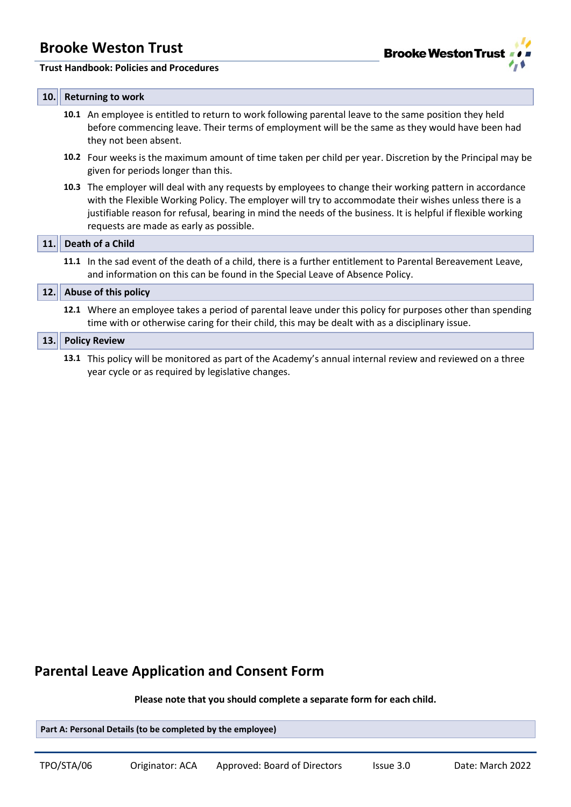

#### **Trust Handbook: Policies and Procedures**

#### **10. Returning to work**

- **10.1** An employee is entitled to return to work following parental leave to the same position they held before commencing leave. Their terms of employment will be the same as they would have been had they not been absent.
- **10.2** Four weeks is the maximum amount of time taken per child per year. Discretion by the Principal may be given for periods longer than this.
- **10.3** The employer will deal with any requests by employees to change their working pattern in accordance with the Flexible Working Policy. The employer will try to accommodate their wishes unless there is a justifiable reason for refusal, bearing in mind the needs of the business. It is helpful if flexible working requests are made as early as possible.

#### **11. Death of a Child**

**11.1** In the sad event of the death of a child, there is a further entitlement to Parental Bereavement Leave, and information on this can be found in the Special Leave of Absence Policy.

**12.1** Where an employee takes a period of parental leave under this policy for purposes other than spending time with or otherwise caring for their child, this may be dealt with as a disciplinary issue.

#### **13. Policy Review**

**13.1** This policy will be monitored as part of the Academy's annual internal review and reviewed on a three year cycle or as required by legislative changes.

### **Parental Leave Application and Consent Form**

**Please note that you should complete a separate form for each child.**

**Part A: Personal Details (to be completed by the employee)**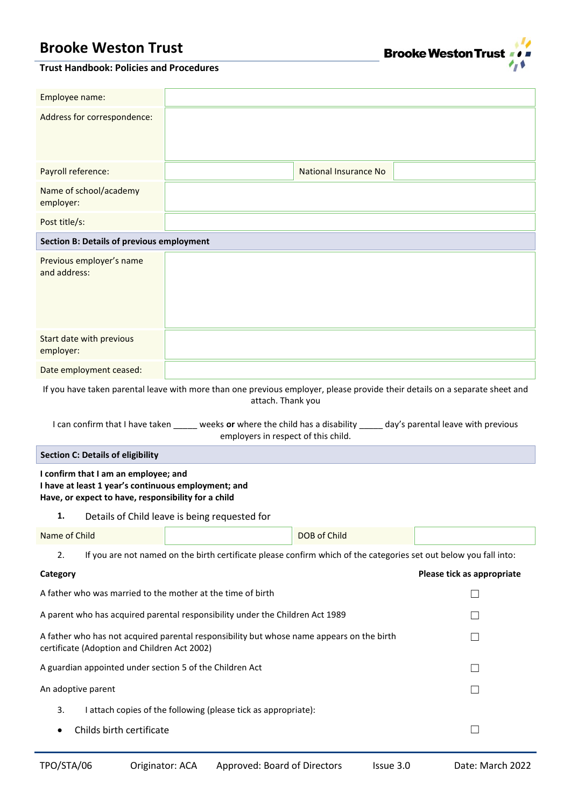

#### **Trust Handbook: Policies and Procedures**

| Employee name:                                                                                                                                                                                                                                                                                                                                                  |                                                                                                                   |              |                            |  |  |
|-----------------------------------------------------------------------------------------------------------------------------------------------------------------------------------------------------------------------------------------------------------------------------------------------------------------------------------------------------------------|-------------------------------------------------------------------------------------------------------------------|--------------|----------------------------|--|--|
| Address for correspondence:                                                                                                                                                                                                                                                                                                                                     |                                                                                                                   |              |                            |  |  |
| Payroll reference:                                                                                                                                                                                                                                                                                                                                              | <b>National Insurance No</b>                                                                                      |              |                            |  |  |
| Name of school/academy<br>employer:                                                                                                                                                                                                                                                                                                                             |                                                                                                                   |              |                            |  |  |
| Post title/s:                                                                                                                                                                                                                                                                                                                                                   |                                                                                                                   |              |                            |  |  |
| <b>Section B: Details of previous employment</b>                                                                                                                                                                                                                                                                                                                |                                                                                                                   |              |                            |  |  |
| Previous employer's name<br>and address:                                                                                                                                                                                                                                                                                                                        |                                                                                                                   |              |                            |  |  |
| Start date with previous<br>employer:                                                                                                                                                                                                                                                                                                                           |                                                                                                                   |              |                            |  |  |
| Date employment ceased:                                                                                                                                                                                                                                                                                                                                         |                                                                                                                   |              |                            |  |  |
| If you have taken parental leave with more than one previous employer, please provide their details on a separate sheet and<br>attach. Thank you<br>I can confirm that I have taken _____ weeks or where the child has a disability _____ day's parental leave with previous<br>employers in respect of this child.<br><b>Section C: Details of eligibility</b> |                                                                                                                   |              |                            |  |  |
| I confirm that I am an employee; and                                                                                                                                                                                                                                                                                                                            |                                                                                                                   |              |                            |  |  |
| I have at least 1 year's continuous employment; and<br>Have, or expect to have, responsibility for a child                                                                                                                                                                                                                                                      |                                                                                                                   |              |                            |  |  |
|                                                                                                                                                                                                                                                                                                                                                                 |                                                                                                                   |              |                            |  |  |
| 1.                                                                                                                                                                                                                                                                                                                                                              | Details of Child leave is being requested for                                                                     |              |                            |  |  |
| Name of Child                                                                                                                                                                                                                                                                                                                                                   |                                                                                                                   | DOB of Child |                            |  |  |
| 2.                                                                                                                                                                                                                                                                                                                                                              | If you are not named on the birth certificate please confirm which of the categories set out below you fall into: |              |                            |  |  |
| Category                                                                                                                                                                                                                                                                                                                                                        |                                                                                                                   |              | Please tick as appropriate |  |  |
| A father who was married to the mother at the time of birth                                                                                                                                                                                                                                                                                                     |                                                                                                                   |              | $\Box$                     |  |  |
|                                                                                                                                                                                                                                                                                                                                                                 | A parent who has acquired parental responsibility under the Children Act 1989                                     |              |                            |  |  |
| certificate (Adoption and Children Act 2002)                                                                                                                                                                                                                                                                                                                    | A father who has not acquired parental responsibility but whose name appears on the birth                         |              | $\Box$                     |  |  |
| A guardian appointed under section 5 of the Children Act                                                                                                                                                                                                                                                                                                        |                                                                                                                   |              |                            |  |  |
| An adoptive parent                                                                                                                                                                                                                                                                                                                                              |                                                                                                                   |              | $\Box$                     |  |  |
| 3.                                                                                                                                                                                                                                                                                                                                                              | I attach copies of the following (please tick as appropriate):                                                    |              |                            |  |  |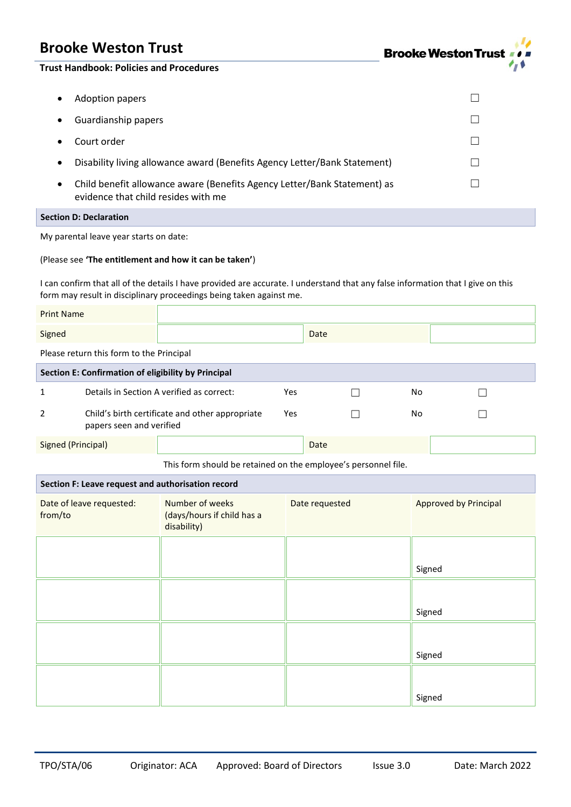

**Trust Handbook: Policies and Procedures**

| <b>Adoption papers</b>                                                                                                       |  |
|------------------------------------------------------------------------------------------------------------------------------|--|
| Guardianship papers                                                                                                          |  |
| Court order                                                                                                                  |  |
| Disability living allowance award (Benefits Agency Letter/Bank Statement)<br>٠                                               |  |
| Child benefit allowance aware (Benefits Agency Letter/Bank Statement) as<br>$\bullet$<br>evidence that child resides with me |  |
|                                                                                                                              |  |

### **Section D: Declaration**

My parental leave year starts on date:

#### (Please see **'The entitlement and how it can be taken'**)

I can confirm that all of the details I have provided are accurate. I understand that any false information that I give on this form may result in disciplinary proceedings being taken against me.

| <b>Print Name</b>                                              |                                           |                                                                     |     |                |        |                              |  |  |
|----------------------------------------------------------------|-------------------------------------------|---------------------------------------------------------------------|-----|----------------|--------|------------------------------|--|--|
| Signed                                                         |                                           |                                                                     |     | Date           |        |                              |  |  |
| Please return this form to the Principal                       |                                           |                                                                     |     |                |        |                              |  |  |
| Section E: Confirmation of eligibility by Principal            |                                           |                                                                     |     |                |        |                              |  |  |
| 1                                                              | Details in Section A verified as correct: |                                                                     | Yes |                | No     |                              |  |  |
| 2                                                              | papers seen and verified                  | Child's birth certificate and other appropriate                     | Yes |                | No     |                              |  |  |
| <b>Signed (Principal)</b>                                      |                                           |                                                                     |     | Date           |        |                              |  |  |
| This form should be retained on the employee's personnel file. |                                           |                                                                     |     |                |        |                              |  |  |
| Section F: Leave request and authorisation record              |                                           |                                                                     |     |                |        |                              |  |  |
| Date of leave requested:<br>from/to                            |                                           | <b>Number of weeks</b><br>(days/hours if child has a<br>disability) |     | Date requested |        | <b>Approved by Principal</b> |  |  |
|                                                                |                                           |                                                                     |     |                | Signed |                              |  |  |
|                                                                |                                           |                                                                     |     |                | Signed |                              |  |  |
|                                                                |                                           |                                                                     |     |                | Signed |                              |  |  |
|                                                                |                                           |                                                                     |     |                | Signed |                              |  |  |